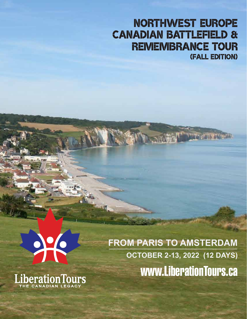## NORTHWEST EUROPE CANADIAN BATTLEFIELD & REMEMBRANCE TOUR (FALL edition)



LiberationTours

**FROM PARIS TO AMSTERDAM OCTOBER 2-13, 2022 (12 DAYS)** www.LiberationTours.ca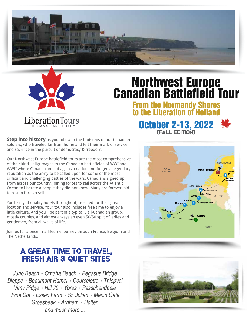



# Northwest Europe Canadian Battlefield Tour

From the Normandy Shores to the Liberation of

October 2-13, 2022

(fall Edition)



**Step into history** as you follow in the footsteps of our Canadian soldiers, who traveled far from home and left their mark of service and sacrifice in the pursuit of democracy & freedom.

Our Northwest Europe battlefield tours are the most comprehensive of their kind - pilgrimages to the Canadian battlefields of WWI and WWII where Canada came of age as a nation and forged a legendary reputation as the army to be called upon for some of the most difficult and challenging battles of the wars. Canadians signed up from across our country, joining forces to sail across the Atlantic Ocean to liberate a people they did not know. Many are forever laid to rest in foreign soil.

You'll stay at quality hotels throughout, selected for their great location and service. Your tour also includes free time to enjoy a little culture. And you'll be part of a typically all-Canadian group, mostly couples, and almost always an even 50/50 split of ladies and gentlemen, from all walks of life.

Join us for a once-in-a-lifetime journey through France, Belgium and The Netherlands.

### A GREAT TIME TO TRAVEL, FRESH AIR & QUIET SITES

Juno Beach • Omaha Beach • Pegasus Bridge *Dieppe Beaumont-Hamel Courcelette Thiepval Vimy Ridge Hill 70 Ypres Passchendaele* **Tyne Cot · Essex Farm · St. Julien · Menin Gate** *Groesbeek Arnhem Holten and much more ...*

**PARIS AMSTERDAM Dieppe Arras Ieper (Ypres) Arnhem Amiens Bayeux 1 2 1** *NETHERLANDS FRANCE UNITED KINGDOM BELGIUM* **1 Juno Beaumont-Hamel Vimy Ridge Passchendaele Groesbeek Holten Omaha 3**

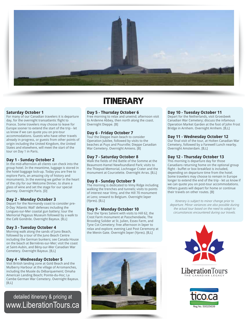

### Itinerary

#### **Saturday October 1**

For many of our Canadian travelers it is departure day, for the overnight transatlantic flight to France. Some travelers may choose to leave for Europe sooner to extend the start of the trip - let us know if we can quote you on pre-tour accommodations. Guests who have other travels already in progress, or guests from other points of origin including the United Kingdom, the United States and elsewhere, will meet the start of the tour on Day 1 in Paris.

#### **Day 1 - Sunday October 2**

In the mid-afternoon all clients can check into the group hotel. In the meantime, luggage is stored in the hotel baggage lock-up. Today you are free to explore Paris, an amazing city of history and monuments. In the evening we gather in the heart of the city for our Welcome Dinner, to share a glass of wine and set the stage for our special journey. Overnight Paris. [D]

#### **Day 2 - Monday October 3**

Depart for the Normandy coast to consider pre-D-Day 'Atlantic Wall' defenses including the Longues-sur-Mer coastal gun battery; tour the Memorial Pegasus Museum followed by a walk to the Café Gondrée. Overnight Bayeux. [B,L]

#### **Day 3 - Tuesday October 4**

Morning walk along the sands of Juno Beach, followed by a tour of the Juno Beach Centre including the German bunkers; see Canada House on the beach at Bernières-sur-Mer; visit the coast at Saint-Aubin, and Bény-sur-Mer Canadian War Cemetery. Overnight Bayeux. [B,L]

#### **Day 4 - Wednesday October 5**

Visit British landing zone at Gold Beach and the Mulberry Harbour at the village of Arromanches, including the Musée du Débarquement; Omaha American Landing Beach; Pointe-du-Hoc; La Cambe German War Cemetery. Overnight Bayeux.  $[B, L]$ 

www.LiberationTours.ca detailed itinerary & pricing at

### **Day 5 - Thursday October 6**

Free morning to relax and unwind; afternoon visit to Ardenne Abbey, then north along the coast. Overnight Dieppe. [B]

#### **Day 6 - Friday October 7**

Tour the Dieppe main beach to consider Operation Jubilee, followed by visits to the beaches at Puys and Pourville; Dieppe Canadian War Cemetery. Overnight Amiens. [B]

#### **Day 7 - Saturday October 8**

Walk the fields of the Battle of the Somme at the Beaumont-Hamel Newfoundland Park; visits to the Thiepval Memorial, Lochnagar Crater and the monument at Courcelette. Overnight Arras. [B,L]

#### **Day 8 - Sunday October 9**

The morning is dedicated to Vimy Ridge including walking the trenches and tunnels; visits to points of interest near Vimy, and the Hill 70 monument at Lens; onward to Belgium. Overnight Ieper (Ypres). [B,L]

#### **Day 9 - Monday October 10**

Tour the Ypres Salient with visits to Hill 62, the Crest Farm monument at Passchendaele, The Brooding Solider at St. Julien, Essex Farm, and Tyne Cot Cemetery; free afternoon in Ieper to relax and explore; evening Last Post Ceremony at the Menin Gate. Overnight Ieper (Ypres). [B,L]



### **Day 10 - Tuesday October 11**

Depart for the Netherlands, visit Groesbeek Canadian War Cemetery; discuss the infamous Operation Market Garden at the foot of John Frost Bridge in Arnhem. Overnight Arnhem. [B,L]

### **Day 11 - Wednesday October 12**

Our final visit of the tour, at Holten Canadian War Cemetery, followed by a Farewell Lunch nearby. Overnight Amsterdam. [B,L]

### **Day 12 - Thursday October 13**

This morning is departure day for those Canadians returning home on the optional group flight - buffet or box breakfast is included, depending on departure time from the hotel. Some travelers may choose to remain in Europe longer to extend the end of the trip - let us know if we can quote you on post-tour accommodations. Others guests will depart for home or continue their travels on other routes. [B]

*Itinerary is subject to minor change prior to departure. Minor variances are also possible during the actual tour based on the need to adapt to circumstances encountered during our travels.*





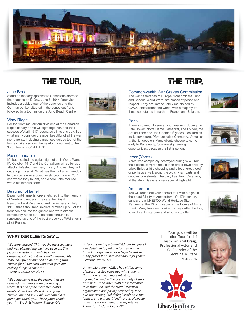

### THE TOUR. THE TRIP.

#### Juno Beach

Stand on the very spot where Canadians stormed the beaches on D-Day, June 6, 1944. Your visit includes a guided tour of the beaches and the German bunker situated in the dunes out front, followed by a tour inside the Juno Beach Centre.

#### Vimy Ridge

For the first time, all four divisions of the Canadian Expeditionary Force will fight together, and their success of April 1917 resonates still to this day. See what many consider the most beautiful of all the war monuments, including a must-see guided tour of the tunnels. We also visit the nearby monument to the 'forgotten victory' at Hill 70.

#### Passchendaele

It's been called the ugliest fight of both World Wars. It's October 1917 and the Canadians will suffer gas attacks, infested trenches, misery. And yet they will once again prevail. What was then a barren, muddy landscape is now a quiet, lovely countryside. You'll see where they fought, and where John McCrae wrote his famous poem.

#### Beaumont-Hamel

Beaumont-Hamel is forever etched into the memory of Newfoundlanders. They are the Royal Newfoundland Regiment, and it was here, in July 1916, that a thousand soldiers climbed up out of the trenches and into the gunfire and were almost completely wiped out. Their battleground is renowned as one of the best preserved WWI sites in all of France.









#### Commonwealth War Graves Commission

The war cemeteries of Europe, from both the First and Second World Wars, are places of peace and respect. They are immaculately maintained by CWGC staff around the world, with a majority of those cemeteries in northern France and Belgium.

There's so much to see at your leisure including the Eiffel Tower, Notre Dame Cathedral, The Louvre, the Arc de Triomphe, the Champs-Élysées, Les Jardins du Luxembourg, Père Lachaise Cemetery, Versailles ... the list goes on. Many clients choose to come early to Paris early, for more sightseeing opportunities, because the list is so long!





#### Ieper (Ypres)

Paris

Ypres was completely destroyed during WWI, but the citizens of Ypres rebuilt their proud town brick by brick. Enjoy a little shopping and a lot of great food, or perhaps a walk along the old city ramparts and cobblestone streets. The daily Last Post Ceremony at the Menin Gate is a very special highlight.

#### Amsterdam

You will round out your special tour with a night in the beautiful city of Amsterdam. It's 17th century canals are a UNESCO World Heritage Site. Remember the Rijksmuseum or the House of Anne Frank. Many travelers book extra days after the tour, to explore Amsterdam and all it has to offer.



### WHAT OUR CLIENTS SAY ...

*"We were amazed. This was the most seamless and well planned trip we have been on. The places we visited can only be called awesome. John & Phil were both amazing. Met some new friends and had an amazing time. Thanks for all the hard work that goes into making things so smooth." - Brent & Laurie Schick, SK*

*"We came home with the feeling that we received much more than our money's worth. It is one of the most memorable events of our lives. We will never forget! Thanks John! Thanks Phil! You both did a great job! Thank you! Thank you!! Thank you!!!" - Brock & Marion Wallace, ON*

*"After considering a battlefield tour for years I was delighted to find one focused on the Canadian experience. Wonderful to visit so many places that I had read about for years." - Jeremy Lammi, AB*

*"An excellent tour. While I had visited some of these sites five years ago with students, this tour was much more relaxing, informative, and with a great variety of sites from both world wars. With the informative talks from Phil, and the overall excellent organization and pacing provided by John, plus the evening "debriefing" sessions in the lounge, and a great, friendly group of people, made this a very memorable experience. Thank You!" - John Healy, NB*

Your guide will be Liberation Tours' chief historian **Phil Craig**, Professional Actor and Co-Founder of the Georgina Military Museum.



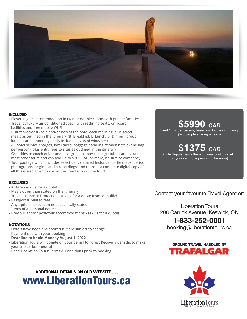

#### Included

- Eleven nights accommodation in twin or double rooms with private facilities
- Travel by luxury air-conditioned coach with reclining seats, on-board facilities and free mobile Wi-Fi
- Buffet breakfast (cold and/or hot) at the hotel each morning, plus select meals as outlined in the itinerary (B=Breakfast, L=Lunch, D=Dinner); group lunches and dinners typically include a glass of wine/beer
- All hotel service charges, local taxes, baggage handling at most hotels (one bag per person), plus entry fees to sites as outlined in the itinerary
- Gratuities to coach driver and local guides (note: these gratuities are extra on most other tours and can add up to \$200 CAD or more, be sure to compare!)
- Tour package which includes select daily detailed historical battle maps, period photographs, original audio recordings, and more ... a complete digital copy of all this is also given to you at the conclusion of the tour!

### **EXCLUDED**

- Airfare ask us for a quote!
- Meals other than stated on the itinerary
- Travel Insurance Protection ask us for a quote from Manulife!
- Passport & related fees
- Any optional excursion not specifically stated
- Items of a personal nature
- Pre-tour and/or post-tour accommodations ask us for a quote!

#### **NOTATIONS**

- Hotels have been pre-booked but are subject to change
- Payment due with your booking
- **Deadline to book: Monday August 1, 2022**
- Liberation Tours will donate on your behalf to Forest Recovery Canada, to make your trip carbon-neutral
- Read Liberation Tours' Terms & Conditions prior to booking

### additional details on our website . . . www.LiberationTours.ca

### **\$5990** *CAD*

Land Only, per person, based on double occupancy (two people sharing a room)

### **\$1375** *CAD*

Single Supplement - the additional cost if traveling on your own (one person in the room)

Contact your favourite Travel Agent or:

Liberation Tours 208 Carrick Avenue, Keswick, ON

### **1-833-252-0001**

booking@liberationtours.ca



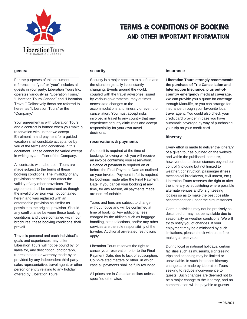

#### **general**

For the purposes of this document, references to "you" or "your" includes all guests in your party. Liberation Tours Inc. operates variously as "Liberation Tours," "Liberation Tours Canada" and "Liberation Travel." Collectively these are referred to herein as "Liberation Tours" or the "Company."

**\_\_\_\_\_\_\_\_\_\_\_\_\_\_\_\_\_\_\_\_\_\_\_\_\_\_\_\_\_**

Your agreement is with Liberation Tours and a contract is formed when you make a reservation with us that we accept. Enrolment in and payment for a guided vacation shall constitute acceptance by you of the terms and conditions in this document. These cannot be varied except in writing by an officer of the Company.

All contracts with Liberation Tours are made subject to the terms of these booking conditions. The invalidity of any provisions herein shall not affect the validity of any other provisions. The agreement shall be construed as though the invalid provision was not contained herein and was replaced with an enforceable provision as similar as possible to the original provision. Should any conflict arise between these booking conditions and those contained within our brochures, these booking conditions shall prevail.

Travel is personal and each individual's goals and experiences may differ. Liberation Tours will not be bound by, or liable for, any description, photograph, representation or warranty made by or provided by any independent third-party sales representative, travel agent, or other person or entity relating to any holiday offered by Liberation Tours.

#### **security**

**\_\_\_\_\_\_\_\_\_\_\_\_\_\_\_\_\_\_\_\_\_\_\_\_\_\_\_\_\_** Security is a major concern to all of us and the situation globally is constantly changing. Events around the world, coupled with the travel advisories issued by various governments, may at times necessitate changes to the accommodations and itinerary or even trip cancellation. You must accept risks involved in travel to any country that may experience security difficulties and accept responsibility for your own travel decisions.

#### **reservations & payments**

**\_\_\_\_\_\_\_\_\_\_\_\_\_\_\_\_\_\_\_\_\_\_\_\_\_\_\_\_\_** A deposit is required at the time of booking, following which you will receive an invoice confirming your reservation. Balance of payment is required on or before the Final Payment Date as outlined on your invoice. Payment in full is required for bookings made after the Final Payment Date. If you cancel your booking at any time, for any reason, all payments made are non-refundable.

Taxes and fees are subject to change without notice and will be confirmed at time of booking. Any additional fees charged by the airlines such as baggage handling, seat selections, and/or any other services are the sole responsibility of the traveler. Additional air-related restrictions apply.

Liberation Tours reserves the right to cancel your reservation prior to the Final Payment Date, due to lack of subscription, Covid-related matters or other, in which case all payments shall be fully refunded.

All prices are in Canadian dollars unless specified otherwise.

#### **insurance**

**\_\_\_\_\_\_\_\_\_\_\_\_\_\_\_\_\_\_\_\_\_\_\_\_\_\_\_\_\_ Liberation Tours strongly recommends the purchase of Trip Cancellation and Interruption Insurance, plus out-ofcountry emergency medical coverage.** We can provide you a quote for coverage through Manulife, or you can arrange for insurance through your favourite local travel agent. You could also check your credit card provider in case you have automatic coverage by way of purchasing your trip on your credit card.

#### **itinerary**

Every effort is made to deliver the itinerary of a given tour as outlined on the website and within the published literature, however due to circumstances beyond our control (including but not limited to weather, construction, passenger illness, mechanical breakdown, civil unrest, etc.) Liberation Tours reserves the right to alter the itinerary by substituting where possible alternate venues and/or sightseeing locales so as to make the best possible accommodation under the circumstances.

**\_\_\_\_\_\_\_\_\_\_\_\_\_\_\_\_\_\_\_\_\_\_\_\_\_\_\_\_\_**

Certain activities may not be precisely as described or may not be available due to seasonality or weather conditions. We will try to notify you of changes. If your enjoyment may be diminished by such limitations, please check with us before making a reservation.

During local or national holidays, certain facilities such as museums, sightseeing trips and shopping may be limited or unavailable. In such instances itinerary changes are made by Liberation Tours seeking to reduce inconvenience to guests. Such changes are deemed not to be a major change to the itinerary, and no compensation will be payable to guests.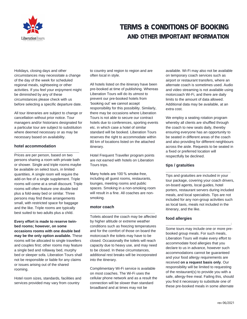

Holidays, closing days and other circumstances may necessitate a change of the day of the week for scheduled regional meals, sightseeing or other activities. If you feel your enjoyment might be diminished by any of these circumstances please check with us before selecting a specific departure date.

All tour itineraries are subject to change or cancellation without prior notice. Tour managers and/or historians designated for a particular tour are subject to substitution where deemed necessary or as may be necessary based on availability.

**\_\_\_\_\_\_\_\_\_\_\_\_\_\_\_\_\_\_\_\_\_\_\_\_\_\_\_\_\_**

#### **hotel accommodation**

Prices are per person, based on two persons sharing a room with private bath or shower. Single and triple rooms maybe be available on select tours, in limited quantities. A single room will require the add-on fee of a single supplement. Triple rooms will come at a small discount. Triple rooms will often feature one double bed plus a fold-away bed or similar. Three persons may find these arrangements small, with restricted space for baggage and the like. Triple rooms are typically best suited to two adults plus a child.

**Every effort is made to reserve twinbed rooms; however, on some occasions rooms with one double bed may be the only option available.** These rooms will be allocated to single travellers and couples first; other rooms may feature a single bed and rollaway bed, murphy bed or sleeper sofa. Liberation Tours shall not be responsible or liable for any claims or issues arising out of the shared rooming.

Hotel room sizes, standards, facilities and services provided may vary from country

to country and region to region and are often local in style.

All hotels listed on the itinerary have been pre-booked at time of publishing. Whereas Liberation Tours will do its utmost to prevent our pre-booked hotels from 'booking out' we cannot accept responsibility for this possibility. Similarly, there may be occasions where Liberation Tours is not able to secure our contract hotels due to conferences, sporting events etc. in which case a hotel of similar standard will be booked. Liberation Tours reserves the right to accommodate within 80 km of locations listed on the attached itinerary.

Hotel Frequent Traveller program points are not earned with hotels on Liberation Tours trips.

Many hotels are 100 % smoke-free, including all guest rooms, restaurants, lounges, meeting rooms and public spaces. Smoking in a non-smoking room will result in a fine. All coaches are nonsmoking.

**\_\_\_\_\_\_\_\_\_\_\_\_\_\_\_\_\_\_\_\_\_\_\_\_\_\_\_\_\_**

#### **motor coach**

Toilets aboard the coach may be affected by higher altitude or extreme weather conditions such as freezing temperatures and for the comfort of those on board the motorcoach the toilets may have to be closed. Occasionally the toilets will reach capacity due to heavy use, and may need to be closed. In these circumstances, additional rest breaks will be incorporated into the itinerary.

Complimentary Wi-Fi service is available on most coaches. The Wi-Fi uses the cellular phone network and as a result the connection will be slower than standard broadband and at times may not be

available. Wi-Fi may also not be available on temporary coach services such as airport or restaurant transfers, where an alternate coach is sometimes used. Audio and video streaming is not available using motorcoach Wi-Fi, and there are daily limits to the amount of data allowed. Additional data may be available, at an extra cost.

We employ a seating rotation program whereby all clients are shuffled through the coach to new seats daily, thereby ensuring everyone has an opportunity to be seated in different areas of the coach and also providing for different neighbours across the aisle. Requests to be seated in a fixed or preferred location will respectfully be declined.

#### **tips / gratuities**

Tips and gratuities are included in your tour package, covering your coach drivers, on-board agents, local guides, hotel porters, restaurant servers during included meals, and local specialists. Tips are not included for any non-group activities such as local taxis, meals not included in the itinerary, and the like.

**\_\_\_\_\_\_\_\_\_\_\_\_\_\_\_\_\_\_\_\_\_\_\_\_\_\_\_\_\_**

#### **food allergies**

Some tours may include one or more prebooked group meals. For such meals, Liberation Tours will make every effort to accommodate food allergies that you declare to us in advance, however such accommodations cannot be guaranteed and your food allergy requirements are received **on a request basis only**. Our responsibility will be limited to requesting of the restaurant(s) to provide you with a safe, allergy-free meal. Failing this, should you find it necessary to substitute one of these pre-booked meals in some alternate

**\_\_\_\_\_\_\_\_\_\_\_\_\_\_\_\_\_\_\_\_\_\_\_\_\_\_\_\_\_**: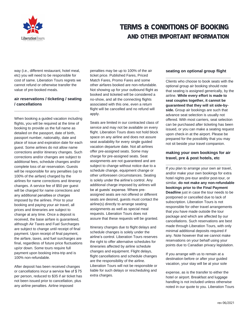

way (i.e., different restaurant, hotel meal, etc) you will need to be responsible for cost of same. Liberation Tours regrets we cannot refund or otherwise transfer the value of pre-booked meals.

#### **air reservations / ticketing / seating / cancellations**

**\_\_\_\_\_\_\_\_\_\_\_\_\_\_\_\_\_\_\_\_\_\_\_\_\_\_\_\_\_**

When booking a guided vacation including flights, you will be required at the time of booking to provide us the full name as detailed on the passport, date of birth, passport number, nationality, date and place of issue and expiration date for each guest. Some airlines do not allow name corrections and/or itinerary changes. Such corrections and/or changes are subject to additional fees, schedule changes and/or complete loss of air reservation. Guests will be responsible for any penalties (up to 100% of the airfare) charged by the airlines for name corrections and itinerary changes. A service fee of \$50 per guest will be charged for name corrections and any additional penalties or charges imposed by the airlines. Prior to your booking and paying your air travel, all prices and itineraries are subject to change at any time. Once a deposit is received, the base airfare is guaranteed, although Air Taxes and Fuel Surcharges are subject to change until receipt of final payment. Upon receipt of final payment, the airfare, taxes, and fuel surcharges are final, regardless of future price fluctuations up/or down. Some tours require full payment upon booking intra-trip and is 100% non-refundable.

After deposit has been received changes or cancellations incur a service fee of \$ 75 per person, reduced to \$35 if air ticket has not been issued prior to cancellation, plus any airline penalties. Airline imposed

penalties may be up to 100% of the air ticket price. Published Fares, Priced Match Fares, Promo Fares and some other airfares booked are non-refundable. Not showing up for your outbound flight as booked and ticketed will be considered a no-show, and all the connecting flights associated with this one, even a return flight will be cancelled and no refund will apply.

Seats are limited in our contracted class of service and may not be available on every flight. Liberation Tours does not hold block space on any airline and does not assure seat availability for every single guided vacation departure date. Not all airlines offer pre-assigned seats. Some may charge for pre-assigned seats. Seat assignments are not guaranteed and are subject to change without notice due to a schedule change, equipment change or other unforeseen circumstances. Seating is solely under the airline's control. Any additional charge imposed by airlines will be at guests' expense. Where preassigned seats are not offered or different seats are desired, guests must contact the airline(s) directly to arrange seating assignments as well as special meal requests. Liberation Tours does not assure that these requests will be granted.

Itinerary changes due to flight delays and schedule changes is solely under the airline's control. Liberation Tours reserves the right to offer alternative schedules for itineraries affected by airline schedule changes and equipment. Flight delays, flight cancellations and schedule changes are the responsibility of the airline. Liberation Tours will not be responsible or liable for such delays or rescheduling and extra charges.

#### **seating on optional group flight**

**\_\_\_\_\_\_\_\_\_\_\_\_\_\_\_\_\_\_\_\_\_\_\_\_\_\_\_\_\_** Clients who choose to book seats with the optional group air booking should note that seating is assigned generically, by the airline. **While every effort is made to seat couples together, it cannot be guaranteed that they will sit side-byside.** Group air bookings are such that advance seat selection is usually not offered. With most carriers, seat selection can be purchased after ticketing has been issued, or you can make a seating request upon check-in at the airport. Please be prepared for the possibility that you may not sit beside your travel companion.

#### **making your own bookings for air travel, pre & post hotels, etc**

**\_\_\_\_\_\_\_\_\_\_\_\_\_\_\_\_\_\_\_\_\_\_\_\_\_\_\_\_\_**

If you plan to arrange your own air travel, and/or make your own bookings for extra hotel nights pre-tour and/or post-tour, or similar, **do not make any non-refundable bookings prior to the Final Payment Deadline** just in case the tour needs to be postponed or cancelled due to lack of subscription. Liberation Tours is not responsible for other travel arrangements that you have made outside the tour package and which are affected by our cancellations. Such reservations are best made through Liberation Tours, with only minimal additional deposits required if any. Note however that we cannot make reservations on your behalf using your points due to Canadian privacy legislation.

If you arrange with us to remain at a destination before or after your guided vacation, your stay will be at your sole

expense, as is the transfer to either the hotel or airport. Breakfast and luggage handling is not included unless otherwise noted in our quote to you. Liberation Tours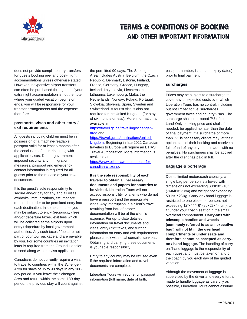

does not provide complimentary transfers for guests booking pre- and post- night accommodations unless otherwise stated. However, inexpensive airport transfers can often be purchased through us. If your extra night accommodation is not the hotel where your guided vacation begins or ends, you will be responsible for your transfer arrangements and the expense therefore.

#### **passports, visas and other entry / exit requirements**

**\_\_\_\_\_\_\_\_\_\_\_\_\_\_\_\_\_\_\_\_\_\_\_\_\_\_\_\_\_** All guests including children must be in possession of a machine-readable passport valid for at least 6 months after the conclusion of their trip, along with applicable visas. Due to governmentimposed security and immigration measures, passport and emergency contact information is required for all guests prior to the release of your travel documents.

It is the guest's sole responsibility to secure and/or pay for any and all visas, affidavits, immunizations, etc. that are required in order to be permitted entry into each destination. In some countries you may be subject to entry (reciprocity) fees and/or departure taxes / exit fees which will be collected at the airports upon entry / departure by local government authorities. Any such taxes / fees are not part of your tour package and are payable by you. For some countries an invitation letter is required from the Ground Handler to send along with the visa application.

Canadians do not currently require a visa to travel to countries within the *Schengen Area* for stays of up to 90 days in any 180 day period. If you leave the Schengen Area and return within the same 180-day period, the previous stay will count against the permitted 90 days. The Schengen Area includes Austria, Belgium, the Czech Republic, Denmark, Estonia, Finland, France, Germany, Greece, Hungary, Iceland, Italy, Latvia, Liechtenstein, Lithuania, Luxembourg, Malta, the Netherlands, Norway, Poland, Portugal, Slovakia, Slovenia, Spain, Sweden and Switzerland. A tourist visa is also not required for the United Kingdom (for stays of six months or less). More information is available at

#### [https://travel.gc.ca/travelling/schengen](https://travel.gc.ca/travelling/schengen-area)[area](https://travel.gc.ca/travelling/schengen-area) and

#### [https://travel.gc.ca/destinations/united-](https://travel.gc.ca/destinations/united-kingdom)

[kingdom.](https://travel.gc.ca/destinations/united-kingdom) Beginning in late 2022 Canadian travelers to Europe will require an ETIAS Travel Authorization. More information is available at

[https://www.etias.ca/requirements-for](https://www.etias.ca/requirements-for-canadian-citizens/)[canadian-citizens/.](https://www.etias.ca/requirements-for-canadian-citizens/)

#### **It is the sole responsibility of each traveler to obtain all necessary documents and papers for countries to be visited.** Liberation Tours will not accept responsibility for clients who do not have a passport and the appropriate visas. Any interruption in a client's travel resulting from lack of proper documentation will be at the client's expense. For up-to-date detailed information on travel documents and visas, entry / exit taxes, and further information on entry and exit requirements please check with local consular services. Obtaining and carrying these documents is your sole responsibility.

Entry to any country may be refused even if the required information and travel documents are complete.

Liberation Tours will require full passport information (full name, date of birth,

passport number, issue and expiry dates) prior to final payment.

#### **surcharges**

**\_\_\_\_\_\_\_\_\_\_\_\_\_\_\_\_\_\_\_\_\_\_\_\_\_\_\_\_\_**: Prices may be subject to a surcharge to cover any unexpected costs over which Liberation Tours has no control, including but not limited to fuel surcharges, government taxes and country visas. The surcharge shall not exceed 7% of the Land-Only booking price and shall, if needed, be applied no later than the date of final payment. If a surcharge of more than 7% is necessary clients may, at their option, cancel their booking and receive a full refund of any payments made, with no penalties. No surcharges shall be applied after the client has paid in full.

**\_\_\_\_\_\_\_\_\_\_\_\_\_\_\_\_\_\_\_\_\_\_\_\_\_\_\_\_\_**

#### **baggage & porterage**

Due to limited motorcoach capacity, a single bag per person is allowed with dimensions not exceeding 30"×18"×10" (76×46×25 cm) and weight not exceeding 50 lbs. / 23 kg. Carry-on / hand luggage is restricted to one piece per person, not exceeding 12"×11"×6" (30×28×14 cm), to fit under your coach seat or in the small overhead compartment. **Carry-ons with telescopic handles and wheels (commonly referred to as an 'executive bag') will not fit in the overhead compartments or under seats and therefore cannot be accepted as carryon / hand luggage.** The handling of carryon / hand luggage is the responsibility of each guest and must be taken on and off the coach by you each day of the guided vacation.

Although the movement of luggage is supervised by the driver and every effort is made to handle luggage as carefully as possible, Liberation Tours cannot assume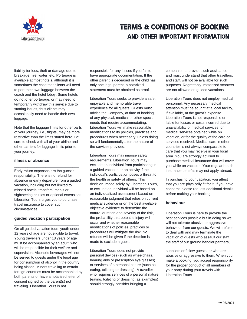

liability for loss, theft or damage due to breakage, fire, water, etc. Porterage is available at most hotels, although it is sometimes the case that clients will need to port their own luggage between the coach and the hotel lobby. Some hotels do not offer porterage, or may need to temporarily withdraw this service due to staffing issues, thus clients may occasionally need to handle their own luggage.

Note that the luggage limits for other parts of your journey, i.e., flights, may be more restrictive than the limits stated here. Be sure to check with all of your airline and other carriers for luggage limits prior to your journey.

#### **illness or absence**

Early return expenses are the guest's responsibility. There is no refund for absence or early departure from a guided vacation, including but not limited to missed hotels, transfers, meals or sightseeing cruises or optional extensions. Liberation Tours urges you to purchase travel insurance to cover such circumstances.

**\_\_\_\_\_\_\_\_\_\_\_\_\_\_\_\_\_\_\_\_\_\_\_\_\_\_\_\_\_**

#### **guided vacation participation**

**\_\_\_\_\_\_\_\_\_\_\_\_\_\_\_\_\_\_\_\_\_\_\_\_\_\_\_\_\_** On all guided vacation tours youth under 12 years of age are not eligible to travel. Young travellers under 18 years of age must be accompanied by an adult, who will be responsible for their welfare and supervision. Alcoholic beverages will not be served to guests under the legal age for consumption of alcohol in the country being visited. Minors traveling to certain foreign countries must be accompanied by both parents or have a notarized letter of consent signed by the parent(s) not traveling. Liberation Tours is not

responsible for any losses if you fail to have appropriate documentation. If the other parent is deceased or the child has only one legal parent, a notarized statement must be obtained as proof.

Liberation Tours seeks to provide a safe, enjoyable and memorable travel experience for all guests. Guests must advise the Company, at time of booking, of any physical, medical or other special needs that require accommodating. Liberation Tours will make reasonable modifications to its policies, practices and procedures when necessary, unless doing so will fundamentally alter the nature of the services provided.

Liberation Tours may impose safety requirements. Liberation Tours may exclude an individual from participating in a guided vacation or an activity if the individual's participation poses a threat to the health or safety of others. This decision, made solely by Liberation Tours, to exclude an individual will be based on an individualized assessment based on reasonable judgment that relies on current medical evidence or on the best available objective evidence to determine the nature, duration and severity of the risk, the probability that potential injury will occur and whether reasonable modifications of policies, practices or procedures will mitigate the risk. No refunds will be given if the decision is made to exclude a guest.

Liberation Tours does not provide personal devices (such as wheelchairs, hearing aids or prescription eye glasses) or services of a personal nature (such as eating, toileting or dressing). A traveller who requires services of a personal nature (eating, toileting or dressing, as examples) should strongly consider bringing a

companion to provide such assistance and must understand that other travellers, and staff, will not be available for such purposes. Regrettably, motorized scooters are not allowed on guided vacations.

Liberation Tours does not employ medical personnel. Any necessary medical attention must be sought at a local facility, if available, at the guest's expense. Liberation Tours is not responsible or liable for losses or costs incurred due to unavailability of medical services, or medical services obtained while on vacation, or for the quality of the care or services received. Medical care in other countries is not always comparable to care that you may receive in your local area. You are strongly advised to purchase medical insurance that will cover you while on vacation. Your regular health insurance benefits may not apply abroad.

In purchasing your vacation, you attest that you are physically fit for it. If you have concerns please request additional details before making your booking.

#### **behaviour**

Liberation Tours is here to provide the best services possible but in doing so we will not tolerate abusive or aggressive behaviour from our guests. We will refuse to deal with and may terminate the vacation of guests who assault our staff, the staff of our ground handler partners,

**\_\_\_\_\_\_\_\_\_\_\_\_\_\_\_\_\_\_\_\_\_\_\_\_\_\_\_\_\_**

suppliers or fellow guests, or who are abusive or aggressive to them. When you make a booking, you accept responsibility for the proper conduct of all members of your party during your travels with Liberation Tours.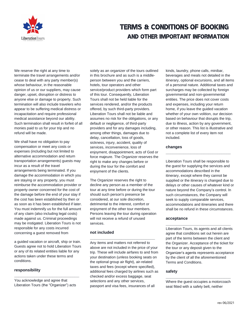

We reserve the right at any time to terminate the travel arrangements and/or cease to deal with any party member(s) whose behaviour, in the reasonable opinion of us or our suppliers, may cause danger, upset, disruption or distress to anyone else or damage to property. Such termination will also include travelers who appear to be suffering medical distress or incapacitation and require professional medical assistance beyond our ability. Such termination shall result in forfeit of all monies paid to us for your trip and no refund will be made.

We shall have no obligation to pay compensation or meet any costs or expenses (including but not limited to alternative accommodation and return transportation arrangements) guests may incur as a result of the travel arrangements being terminated. If you damage the accommodation in which you are staying or any property, you must reimburse the accommodation provider or property owner concerned for the cost of the damage before the end of your stay if the cost has been established by then or as soon as it has been established if later. You must indemnify us for the full amount of any claim (also including legal costs) made against us. Criminal proceedings may be instigated. Liberation Tours is not responsible for any costs incurred concerning a guest removed from

a guided vacation or aircraft, ship or train. Guests agree not to hold Liberation Tours or any of its related entities liable for any actions taken under these terms and conditions.

#### **responsibility**

You acknowledge and agree that Liberation Tours (the "Organizer") acts

**\_\_\_\_\_\_\_\_\_\_\_\_\_\_\_\_\_\_\_\_\_\_\_\_\_\_\_\_\_**

solely as an organizer of the tours outlined in this brochure and as such is a middleperson between you and the carriers, hotels, tour operators and other service/product providers which form part of this tour. Consequently, Liberation Tours shall not be held liable for the services rendered, and/or the products offered, by such third-party providers. Liberation Tours shall not be liable and assumes no risk for the obligations, or any default or negligence, of third-party providers and for any damages including, among other things, damages due to delay, cancellation, loss of goods, sickness, injury, accident, quality of services, inconvenience, loss of enjoyment, disappointment, acts of God or force majeure. The Organizer reserves the right to make any changes before or during the tour for the comfort and enjoyment of the clients.

The Organizer reserves the right to decline any person as a member of the tour at any time before or during the tour should such person's presence be considered, at our sole discretion, detrimental to the interest, comfort or enjoyment of the other tour members. Persons leaving the tour during operation will not receive a refund of unused services.

#### **not included**

Any items and matters not referred to above are not included in the price of your trip. These will include airfares to and from your destination (unless booking seats on the optional group air flight), air-related taxes and fees (except where specified), additional fees charged by airlines such as checked and/or excess baggage, seat selections and any other services, passport and visa fees, insurances of all

**\_\_\_\_\_\_\_\_\_\_\_\_\_\_\_\_\_\_\_\_\_\_\_\_\_\_\_\_\_**

kinds, laundry, phone calls, minibar, beverages and meals not detailed in the itinerary, optional excursions, and all items of a personal nature. Additional taxes and surcharges may be collected by foreign governmental and non-governmental entities. The price does not cover costs and expenses, including your return home, if you leave the guided vacation whether of your own volition, our decision based on behaviour that disrupts the trip, due to illness, action by any government, or other reason. This list is illustrative and not a complete list of every item not included.

#### **changes**

Liberation Tours shall be responsible to the guest for supplying the services and accommodations described in the itinerary, except where they cannot be supplied or the itinerary is changed due to delays or other causes of whatever kind or nature beyond the Company's control. In such circumstances, the Company will seek to supply comparable services, accommodations and itineraries and there shall be no refund in these circumstances.

**\_\_\_\_\_\_\_\_\_\_\_\_\_\_\_\_\_\_\_\_\_\_\_\_\_\_\_\_\_**

#### **acceptance**

Liberation Tours, its agents and all clients agree that conditions set out herein are part of the terms between the client and the Organizer. Acceptance of the ticket for the tour or any deposit given to the Organizer's agents represents acceptance by the client of all the aforementioned Terms and Conditions.

**\_\_\_\_\_\_\_\_\_\_\_\_\_\_\_\_\_\_\_\_\_\_\_\_\_\_\_\_\_**

#### **safety**

**\_\_\_\_\_\_\_\_\_\_\_\_\_\_\_\_\_\_\_\_\_\_\_\_\_\_\_\_\_** Where the guest occupies a motorcoach seat fitted with a safety belt, neither